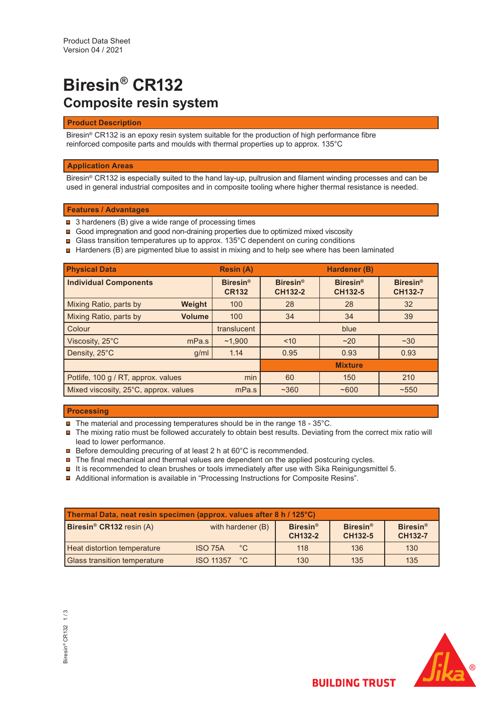# **Biresin® CR132 Composite resin system**

## **Product Description**

Biresin® CR132 is an epoxy resin system suitable for the production of high performance fibre reinforced composite parts and moulds with thermal properties up to approx. 135°C

## **Application Areas**

Biresin® CR132 is especially suited to the hand lay-up, pultrusion and filament winding processes and can be used in general industrial composites and in composite tooling where higher thermal resistance is needed.

## **Features / Advantages**

- 3 hardeners (B) give a wide range of processing times
- Good impregnation and good non-draining properties due to optimized mixed viscosity
- Glass transition temperatures up to approx. 135°C dependent on curing conditions
- $\textcolor{red}{\blacksquare}$  Hardeners (B) are pigmented blue to assist in mixing and to help see where has been laminated

| <b>Physical Data</b>                           |               | <b>Resin (A)</b>                |                                   | Hardener (B)                      |                                   |
|------------------------------------------------|---------------|---------------------------------|-----------------------------------|-----------------------------------|-----------------------------------|
| <b>Individual Components</b>                   |               | <b>Biresin®</b><br><b>CR132</b> | <b>Biresin®</b><br><b>CH132-2</b> | <b>Biresin®</b><br><b>CH132-5</b> | <b>Biresin®</b><br><b>CH132-7</b> |
| Mixing Ratio, parts by                         | Weight        | 100                             | 28                                | 28                                | 32                                |
| Mixing Ratio, parts by                         | <b>Volume</b> | 100                             | 34                                | 34                                | 39                                |
| Colour                                         |               | translucent                     |                                   | blue                              |                                   |
| Viscosity, 25°C                                | mPa.s         | ~1.900                          | ~10                               | ~20                               | $~1$ $~30$                        |
| Density, 25°C                                  | g/ml          | 1.14                            | 0.95                              | 0.93                              | 0.93                              |
|                                                |               |                                 |                                   | <b>Mixture</b>                    |                                   |
| min<br>Potlife, 100 g / RT, approx. values     |               | 60                              | 150                               | 210                               |                                   |
| Mixed viscosity, 25°C, approx. values<br>mPa.s |               | $~1$ ~360                       | ~100                              | $~10-550$                         |                                   |

## **Processing**

- **□** The material and processing temperatures should be in the range 18 35°C.
- The mixing ratio must be followed accurately to obtain best results. Deviating from the correct mix ratio will lead to lower performance.
- **□** Before demoulding precuring of at least 2 h at 60°C is recommended.
- $\blacksquare$  The final mechanical and thermal values are dependent on the applied postcuring cycles.
- $\blacksquare$  It is recommended to clean brushes or tools immediately after use with Sika Reinigungsmittel 5.
- Additional information is available in "Processing Instructions for Composite Resins".

| Thermal Data, neat resin specimen (approx. values after 8 h / 125°C) |                                  |                            |                            |                                              |  |  |
|----------------------------------------------------------------------|----------------------------------|----------------------------|----------------------------|----------------------------------------------|--|--|
| Biresin <sup>®</sup> CR132 resin (A)                                 | with hardener (B)                | <b>Biresin®</b><br>CH132-2 | <b>Biresin®</b><br>CH132-5 | <b>Biresin<sup>®</sup></b><br><b>CH132-7</b> |  |  |
| <b>Heat distortion temperature</b>                                   | $^{\circ}$ C<br>ISO 75A          | 118                        | 136                        | 130                                          |  |  |
| <b>Glass transition temperature</b>                                  | <b>ISO 11357</b><br>$^{\circ}$ C | 130                        | 135                        | 135                                          |  |  |



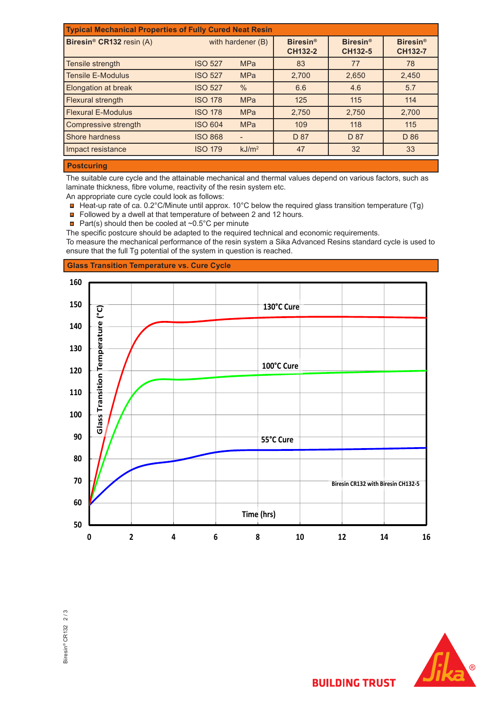| <b>Typical Mechanical Properties of Fully Cured Neat Resin</b> |                |                   |       |                                   |                                   |  |
|----------------------------------------------------------------|----------------|-------------------|-------|-----------------------------------|-----------------------------------|--|
| Biresin <sup>®</sup> CR132 resin (A)                           |                | with hardener (B) |       | <b>Biresin®</b><br><b>CH132-5</b> | <b>Biresin®</b><br><b>CH132-7</b> |  |
| Tensile strength                                               | <b>ISO 527</b> | <b>MPa</b>        | 83    | 77                                | 78                                |  |
| <b>Tensile E-Modulus</b>                                       | <b>ISO 527</b> | <b>MPa</b>        | 2,700 | 2,650                             | 2,450                             |  |
| <b>Elongation at break</b>                                     | <b>ISO 527</b> | $\%$              | 6.6   | 4.6                               | 5.7                               |  |
| Flexural strength                                              | <b>ISO 178</b> | <b>MPa</b>        | 125   | 115                               | 114                               |  |
| <b>Flexural E-Modulus</b>                                      | <b>ISO 178</b> | <b>MPa</b>        | 2,750 | 2,750                             | 2,700                             |  |
| Compressive strength                                           | <b>ISO 604</b> | <b>MPa</b>        | 109   | 118                               | 115                               |  |
| Shore hardness                                                 | <b>ISO 868</b> |                   | D 87  | D 87                              | D 86                              |  |
| Impact resistance                                              | <b>ISO 179</b> | kJ/m <sup>2</sup> | 47    | 32                                | 33                                |  |
|                                                                |                |                   |       |                                   |                                   |  |

## **Postcuring**

The suitable cure cycle and the attainable mechanical and thermal values depend on various factors, such as laminate thickness, fibre volume, reactivity of the resin system etc.

An appropriate cure cycle could look as follows:

- Heat-up rate of ca. 0.2°C/Minute until approx. 10°C below the required glass transition temperature (Tg)
- Followed by a dwell at that temperature of between 2 and 12 hours.
- **Part(s)** should then be cooled at  $\sim 0.5^{\circ}$ C per minute
- The specific postcure should be adapted to the required technical and economic requirements.

To measure the mechanical performance of the resin system a Sika Advanced Resins standard cycle is used to ensure that the full Tg potential of the system in question is reached.

# **Glass Transition Temperature vs. Cure Cycle**







**BUILDING TRUST**